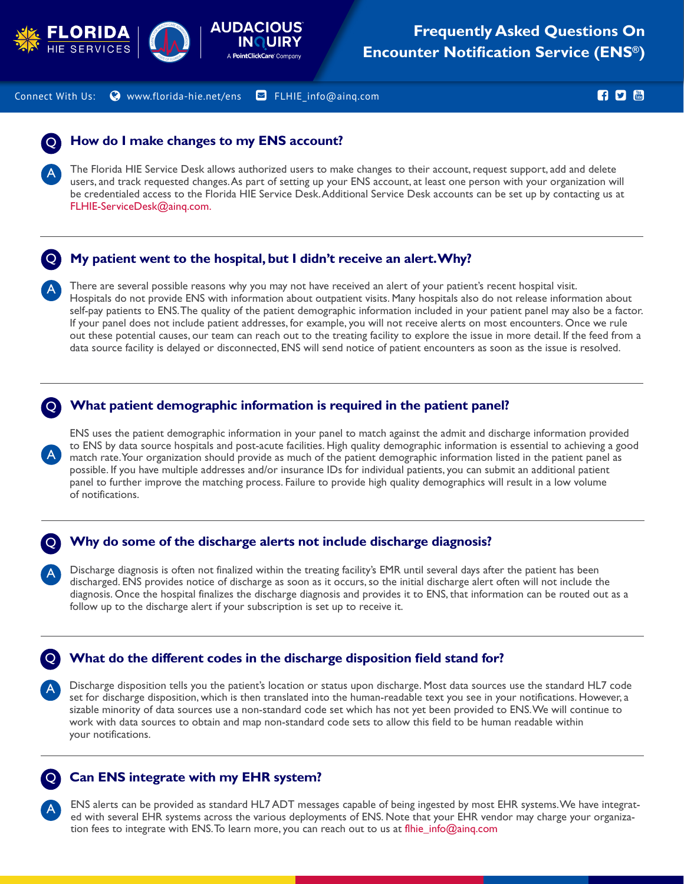



Connect With Us:  $\bullet$  www.florida-hie.net/ens  $\bullet$  FLHIE\_info@ainq.com and the set of the set of  $\bullet$   $\bullet$ 

### **How do I make changes to my ENS account?** Q

The Florida HIE Service Desk allows authorized users to make changes to their account, request support, add and delete users, and track requested changes. As part of setting up your ENS account, at least one person with your organization will be credentialed access to the Florida HIE Service Desk. Additional Service Desk accounts can be set up by contacting us at FLHIE-ServiceDesk@ainq.com.



A

A

A

A

A

A

## **My patient went to the hospital, but I didn't receive an alert. Why?**

There are several possible reasons why you may not have received an alert of your patient's recent hospital visit. Hospitals do not provide ENS with information about outpatient visits. Many hospitals also do not release information about self-pay patients to ENS. The quality of the patient demographic information included in your patient panel may also be a factor. If your panel does not include patient addresses, for example, you will not receive alerts on most encounters. Once we rule out these potential causes, our team can reach out to the treating facility to explore the issue in more detail. If the feed from a data source facility is delayed or disconnected, ENS will send notice of patient encounters as soon as the issue is resolved.

#### **What patient demographic information is required in the patient panel?** Q

ENS uses the patient demographic information in your panel to match against the admit and discharge information provided to ENS by data source hospitals and post-acute facilities. High quality demographic information is essential to achieving a good match rate. Your organization should provide as much of the patient demographic information listed in the patient panel as possible. If you have multiple addresses and/or insurance IDs for individual patients, you can submit an additional patient panel to further improve the matching process. Failure to provide high quality demographics will result in a low volume of notifications.

#### **Why do some of the discharge alerts not include discharge diagnosis?** Q

Discharge diagnosis is often not finalized within the treating facility's EMR until several days after the patient has been discharged. ENS provides notice of discharge as soon as it occurs, so the initial discharge alert often will not include the diagnosis. Once the hospital finalizes the discharge diagnosis and provides it to ENS, that information can be routed out as a follow up to the discharge alert if your subscription is set up to receive it.

#### **What do the different codes in the discharge disposition field stand for?** Q

Discharge disposition tells you the patient's location or status upon discharge. Most data sources use the standard HL7 code set for discharge disposition, which is then translated into the human-readable text you see in your notifications. However, a sizable minority of data sources use a non-standard code set which has not yet been provided to ENS. We will continue to work with data sources to obtain and map non-standard code sets to allow this field to be human readable within your notifications.

## **Can ENS integrate with my EHR system?**

ENS alerts can be provided as standard HL7 ADT messages capable of being ingested by most EHR systems. We have integrated with several EHR systems across the various deployments of ENS. Note that your EHR vendor may charge your organization fees to integrate with ENS. To learn more, you can reach out to us at flhie\_info@ainq.com